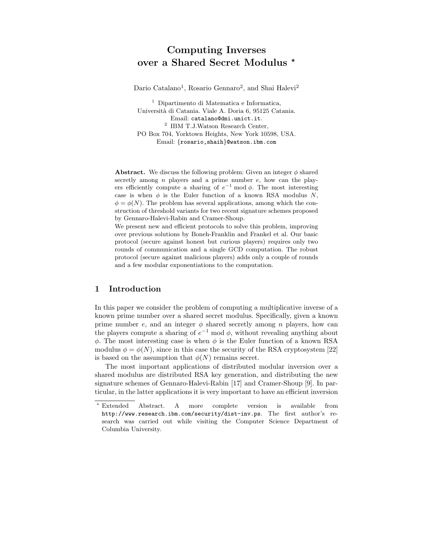# Computing Inverses over a Shared Secret Modulus \*

Dario Catalano<sup>1</sup>, Rosario Gennaro<sup>2</sup>, and Shai Halevi<sup>2</sup>

<sup>1</sup> Dipartimento di Matematica e Informatica, Universit`a di Catania. Viale A. Doria 6, 95125 Catania. Email: catalano@dmi.unict.it. <sup>2</sup> IBM T.J.Watson Research Center, PO Box 704, Yorktown Heights, New York 10598, USA. Email: {rosario,shaih}@watson.ibm.com

**Abstract.** We discuss the following problem: Given an integer  $\phi$  shared secretly among  $n$  players and a prime number  $e$ , how can the players efficiently compute a sharing of  $e^{-1}$  mod  $\phi$ . The most interesting case is when  $\phi$  is the Euler function of a known RSA modulus N,  $\phi = \phi(N)$ . The problem has several applications, among which the construction of threshold variants for two recent signature schemes proposed by Gennaro-Halevi-Rabin and Cramer-Shoup.

We present new and efficient protocols to solve this problem, improving over previous solutions by Boneh-Franklin and Frankel et al. Our basic protocol (secure against honest but curious players) requires only two rounds of communication and a single GCD computation. The robust protocol (secure against malicious players) adds only a couple of rounds and a few modular exponentiations to the computation.

# 1 Introduction

In this paper we consider the problem of computing a multiplicative inverse of a known prime number over a shared secret modulus. Specifically, given a known prime number e, and an integer  $\phi$  shared secretly among n players, how can the players compute a sharing of  $e^{-1}$  mod  $\phi$ , without revealing anything about  $\phi$ . The most interesting case is when  $\phi$  is the Euler function of a known RSA modulus  $\phi = \phi(N)$ , since in this case the security of the RSA cryptosystem [22] is based on the assumption that  $\phi(N)$  remains secret.

The most important applications of distributed modular inversion over a shared modulus are distributed RSA key generation, and distributing the new signature schemes of Gennaro-Halevi-Rabin [17] and Cramer-Shoup [9]. In particular, in the latter applications it is very important to have an efficient inversion

<sup>?</sup> Extended Abstract. A more complete version is available from http://www.research.ibm.com/security/dist-inv.ps. The first author's research was carried out while visiting the Computer Science Department of Columbia University.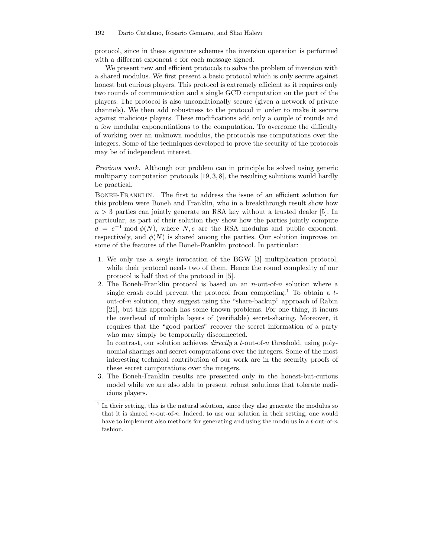protocol, since in these signature schemes the inversion operation is performed with a different exponent  $e$  for each message signed.

We present new and efficient protocols to solve the problem of inversion with a shared modulus. We first present a basic protocol which is only secure against honest but curious players. This protocol is extremely efficient as it requires only two rounds of communication and a single GCD computation on the part of the players. The protocol is also unconditionally secure (given a network of private channels). We then add robustness to the protocol in order to make it secure against malicious players. These modifications add only a couple of rounds and a few modular exponentiations to the computation. To overcome the difficulty of working over an unknown modulus, the protocols use computations over the integers. Some of the techniques developed to prove the security of the protocols may be of independent interest.

Previous work. Although our problem can in principle be solved using generic multiparty computation protocols [19, 3, 8], the resulting solutions would hardly be practical.

Boneh-Franklin. The first to address the issue of an efficient solution for this problem were Boneh and Franklin, who in a breakthrough result show how  $n > 3$  parties can jointly generate an RSA key without a trusted dealer [5]. In particular, as part of their solution they show how the parties jointly compute  $d = e^{-1} \mod \phi(N)$ , where N, e are the RSA modulus and public exponent, respectively, and  $\phi(N)$  is shared among the parties. Our solution improves on some of the features of the Boneh-Franklin protocol. In particular:

- 1. We only use a single invocation of the BGW [3] multiplication protocol, while their protocol needs two of them. Hence the round complexity of our protocol is half that of the protocol in [5].
- 2. The Boneh-Franklin protocol is based on an  $n$ -out-of-n solution where a single crash could prevent the protocol from completing.<sup>1</sup> To obtain a tout-of-n solution, they suggest using the "share-backup" approach of Rabin [21], but this approach has some known problems. For one thing, it incurs the overhead of multiple layers of (verifiable) secret-sharing. Moreover, it requires that the "good parties" recover the secret information of a party who may simply be temporarily disconnected.

In contrast, our solution achieves *directly* a t-out-of-n threshold, using polynomial sharings and secret computations over the integers. Some of the most interesting technical contribution of our work are in the security proofs of these secret computations over the integers.

3. The Boneh-Franklin results are presented only in the honest-but-curious model while we are also able to present robust solutions that tolerate malicious players.

<sup>&</sup>lt;sup>1</sup> In their setting, this is the natural solution, since they also generate the modulus so that it is shared n-out-of-n. Indeed, to use our solution in their setting, one would have to implement also methods for generating and using the modulus in a t-out-of- $n$ fashion.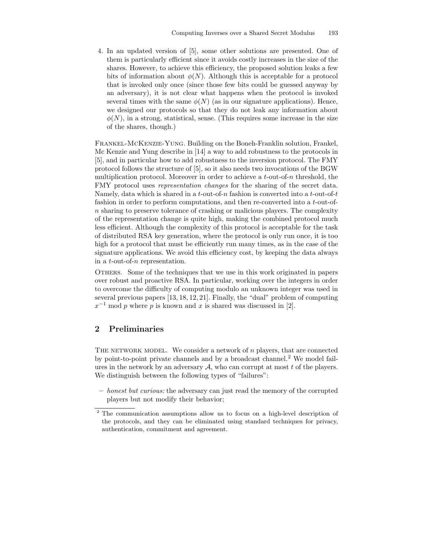4. In an updated version of [5], some other solutions are presented. One of them is particularly efficient since it avoids costly increases in the size of the shares. However, to achieve this efficiency, the proposed solution leaks a few bits of information about  $\phi(N)$ . Although this is acceptable for a protocol that is invoked only once (since those few bits could be guessed anyway by an adversary), it is not clear what happens when the protocol is invoked several times with the same  $\phi(N)$  (as in our signature applications). Hence, we designed our protocols so that they do not leak any information about  $\phi(N)$ , in a strong, statistical, sense. (This requires some increase in the size of the shares, though.)

Frankel-McKenzie-Yung. Building on the Boneh-Franklin solution, Frankel, Mc Kenzie and Yung describe in [14] a way to add robustness to the protocols in [5], and in particular how to add robustness to the inversion protocol. The FMY protocol follows the structure of [5], so it also needs two invocations of the BGW multiplication protocol. Moreover in order to achieve a  $t$ -out-of-n threshold, the FMY protocol uses representation changes for the sharing of the secret data. Namely, data which is shared in a  $t$ -out-of-n fashion is converted into a  $t$ -out-of- $t$ fashion in order to perform computations, and then re-converted into a t-out-ofn sharing to preserve tolerance of crashing or malicious players. The complexity of the representation change is quite high, making the combined protocol much less efficient. Although the complexity of this protocol is acceptable for the task of distributed RSA key generation, where the protocol is only run once, it is too high for a protocol that must be efficiently run many times, as in the case of the signature applications. We avoid this efficiency cost, by keeping the data always in a t-out-of-n representation.

Others. Some of the techniques that we use in this work originated in papers over robust and proactive RSA. In particular, working over the integers in order to overcome the difficulty of computing modulo an unknown integer was used in several previous papers [13, 18, 12, 21]. Finally, the "dual" problem of computing  $x^{-1}$  mod p where p is known and x is shared was discussed in [2].

# 2 Preliminaries

THE NETWORK MODEL. We consider a network of  $n$  players, that are connected by point-to-point private channels and by a broadcast channel.<sup>2</sup> We model failures in the network by an adversary  $A$ , who can corrupt at most  $t$  of the players. We distinguish between the following types of "failures":

– honest but curious: the adversary can just read the memory of the corrupted players but not modify their behavior;

<sup>2</sup> The communication assumptions allow us to focus on a high-level description of the protocols, and they can be eliminated using standard techniques for privacy, authentication, commitment and agreement.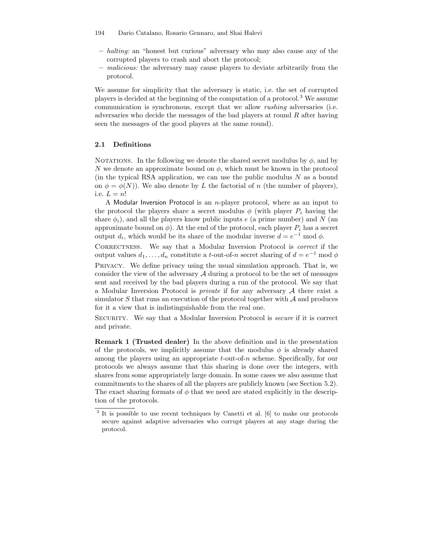- halting: an "honest but curious" adversary who may also cause any of the corrupted players to crash and abort the protocol;
- malicious: the adversary may cause players to deviate arbitrarily from the protocol.

We assume for simplicity that the adversary is static, i.e. the set of corrupted players is decided at the beginning of the computation of a protocol.<sup>3</sup> We assume communication is synchronous, except that we allow rushing adversaries (i.e. adversaries who decide the messages of the bad players at round  $R$  after having seen the messages of the good players at the same round).

#### 2.1 Definitions

NOTATIONS. In the following we denote the shared secret modulus by  $\phi$ , and by N we denote an approximate bound on  $\phi$ , which must be known in the protocol (in the typical RSA application, we can use the public modulus  $N$  as a bound on  $\phi = \phi(N)$ ). We also denote by L the factorial of n (the number of players), i.e.  $L = n!$ 

A Modular Inversion Protocol is an *n*-player protocol, where as an input to the protocol the players share a secret modulus  $\phi$  (with player  $P_i$  having the share  $\phi_i$ ), and all the players know public inputs e (a prime number) and N (an approximate bound on  $\phi$ ). At the end of the protocol, each player  $P_i$  has a secret output  $d_i$ , which would be its share of the modular inverse  $d = e^{-1} \mod \phi$ .

CORRECTNESS. We say that a Modular Inversion Protocol is *correct* if the output values  $d_1, \ldots, d_n$  constitute a t-out-of-n secret sharing of  $d = e^{-1} \mod \phi$ Privacy. We define privacy using the usual simulation approach. That is, we

consider the view of the adversary  $A$  during a protocol to be the set of messages sent and received by the bad players during a run of the protocol. We say that a Modular Inversion Protocol is *private* if for any adversary  $A$  there exist a simulator  $S$  that runs an execution of the protocol together with  $A$  and produces for it a view that is indistinguishable from the real one.

SECURITY. We say that a Modular Inversion Protocol is *secure* if it is correct and private.

Remark 1 (Trusted dealer) In the above definition and in the presentation of the protocols, we implicitly assume that the modulus  $\phi$  is already shared among the players using an appropriate t-out-of-n scheme. Specifically, for our protocols we always assume that this sharing is done over the integers, with shares from some appropriately large domain. In some cases we also assume that commitments to the shares of all the players are publicly known (see Section 5.2). The exact sharing formats of  $\phi$  that we need are stated explicitly in the description of the protocols.

<sup>&</sup>lt;sup>3</sup> It is possible to use recent techniques by Canetti et al. [6] to make our protocols secure against adaptive adversaries who corrupt players at any stage during the protocol.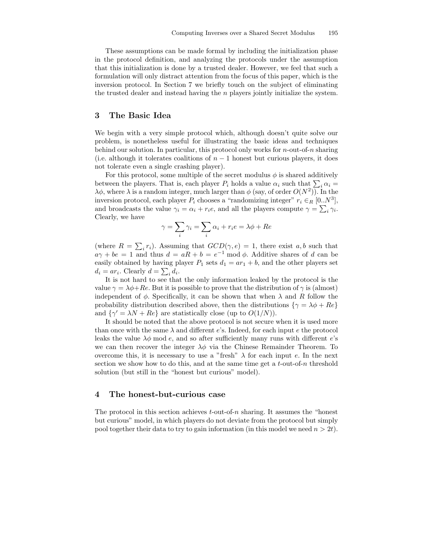These assumptions can be made formal by including the initialization phase in the protocol definition, and analyzing the protocols under the assumption that this initialization is done by a trusted dealer. However, we feel that such a formulation will only distract attention from the focus of this paper, which is the inversion protocol. In Section 7 we briefly touch on the subject of eliminating the trusted dealer and instead having the  $n$  players jointly initialize the system.

# 3 The Basic Idea

We begin with a very simple protocol which, although doesn't quite solve our problem, is nonetheless useful for illustrating the basic ideas and techniques behind our solution. In particular, this protocol only works for  $n$ -out-of-n sharing (i.e. although it tolerates coalitions of  $n-1$  honest but curious players, it does not tolerate even a single crashing player).

For this protocol, some multiple of the secret modulus  $\phi$  is shared additively between the players. That is, each player  $P_i$  holds a value  $\alpha_i$  such that  $\sum_i \alpha_i =$  $\lambda \phi$ , where  $\lambda$  is a random integer, much larger than  $\phi$  (say, of order  $O(N^2)$ ). In the inversion protocol, each player  $P_i$  chooses a "randomizing integer"  $r_i \in_R [0..N^3]$ , and broadcasts the value  $\gamma_i = \alpha_i + r_i e$ , and all the players compute  $\gamma = \sum_i \gamma_i$ . Clearly, we have

$$
\gamma = \sum_{i} \gamma_i = \sum_{i} \alpha_i + r_i e = \lambda \phi + Re
$$

(where  $R = \sum_i r_i$ ). Assuming that  $GCD(\gamma, e) = 1$ , there exist a, b such that  $a\gamma + be = 1$  and thus  $d = aR + b = e^{-1} \mod \phi$ . Additive shares of d can be easily obtained by having player  $P_1$  sets  $d_1 = ar_1 + b$ , and the other players set  $d_i = ar_i$ . Clearly  $d = \sum_i d_i$ .

It is not hard to see that the only information leaked by the protocol is the value  $\gamma = \lambda \phi + Re$ . But it is possible to prove that the distribution of  $\gamma$  is (almost) independent of  $\phi$ . Specifically, it can be shown that when  $\lambda$  and R follow the probability distribution described above, then the distributions  $\{\gamma = \lambda \phi + Re\}$ and  $\{\gamma' = \lambda N + Re\}$  are statistically close (up to  $O(1/N)$ ).

It should be noted that the above protocol is not secure when it is used more than once with the same  $\lambda$  and different e's. Indeed, for each input e the protocol leaks the value  $\lambda \phi$  mod e, and so after sufficiently many runs with different e's we can then recover the integer  $\lambda \phi$  via the Chinese Remainder Theorem. To overcome this, it is necessary to use a "fresh"  $\lambda$  for each input e. In the next section we show how to do this, and at the same time get a  $t$ -out-of-n threshold solution (but still in the "honest but curious" model).

### 4 The honest-but-curious case

The protocol in this section achieves t-out-of-n sharing. It assumes the "honest but curious" model, in which players do not deviate from the protocol but simply pool together their data to try to gain information (in this model we need  $n > 2t$ ).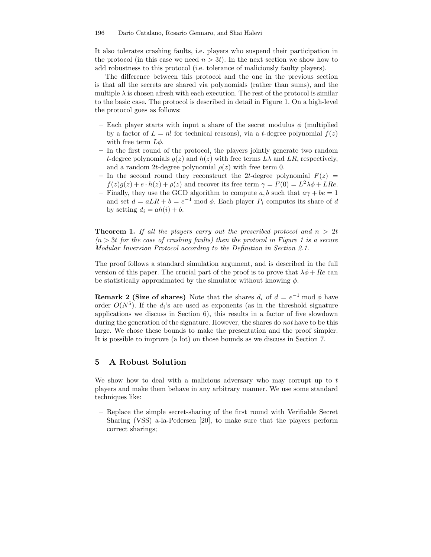It also tolerates crashing faults, i.e. players who suspend their participation in the protocol (in this case we need  $n > 3t$ ). In the next section we show how to add robustness to this protocol (i.e. tolerance of maliciously faulty players).

The difference between this protocol and the one in the previous section is that all the secrets are shared via polynomials (rather than sums), and the multiple  $\lambda$  is chosen afresh with each execution. The rest of the protocol is similar to the basic case. The protocol is described in detail in Figure 1. On a high-level the protocol goes as follows:

- Each player starts with input a share of the secret modulus  $\phi$  (multiplied by a factor of  $L = n!$  for technical reasons), via a t-degree polynomial  $f(z)$ with free term  $L\phi$ .
- In the first round of the protocol, the players jointly generate two random t-degree polynomials  $g(z)$  and  $h(z)$  with free terms  $L\lambda$  and  $LR$ , respectively, and a random 2t-degree polynomial  $\rho(z)$  with free term 0.
- In the second round they reconstruct the 2t-degree polynomial  $F(z)$  =  $f(z)g(z) + e \cdot h(z) + \rho(z)$  and recover its free term  $\gamma = F(0) = L^2 \lambda \phi + LRe$ .
- Finally, they use the GCD algorithm to compute a, b such that  $a\gamma + be = 1$ and set  $d = aLR + b = e^{-1} \mod \phi$ . Each player  $P_i$  computes its share of d by setting  $d_i = ah(i) + b$ .

**Theorem 1.** If all the players carry out the prescribed protocol and  $n > 2t$  $(n > 3t$  for the case of crashing faults) then the protocol in Figure 1 is a secure Modular Inversion Protocol according to the Definition in Section 2.1.

The proof follows a standard simulation argument, and is described in the full version of this paper. The crucial part of the proof is to prove that  $\lambda \phi + Re$  can be statistically approximated by the simulator without knowing  $\phi$ .

**Remark 2 (Size of shares)** Note that the shares  $d_i$  of  $d = e^{-1} \mod \phi$  have order  $O(N^5)$ . If the  $d_i$ 's are used as exponents (as in the threshold signature applications we discuss in Section 6), this results in a factor of five slowdown during the generation of the signature. However, the shares do not have to be this large. We chose these bounds to make the presentation and the proof simpler. It is possible to improve (a lot) on those bounds as we discuss in Section 7.

# 5 A Robust Solution

We show how to deal with a malicious adversary who may corrupt up to  $t$ players and make them behave in any arbitrary manner. We use some standard techniques like:

– Replace the simple secret-sharing of the first round with Verifiable Secret Sharing (VSS) a-la-Pedersen [20], to make sure that the players perform correct sharings;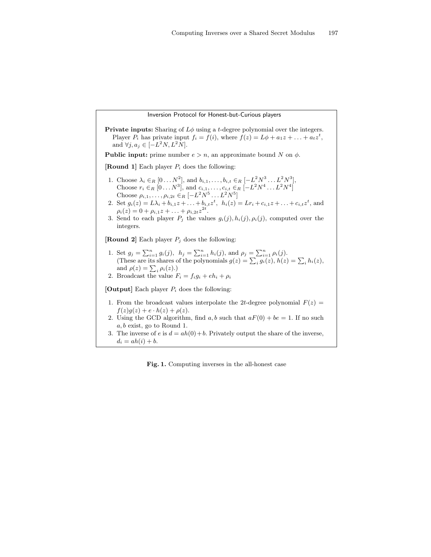

Fig. 1. Computing inverses in the all-honest case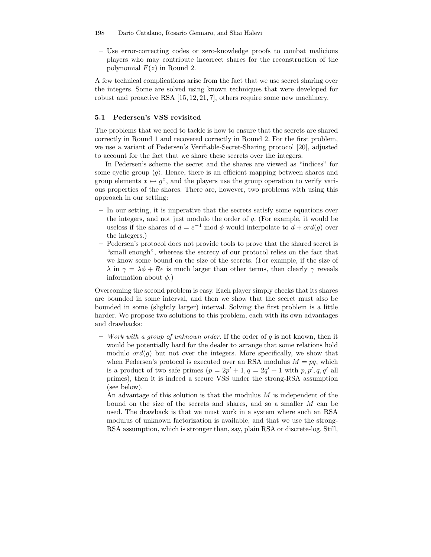- 198 Dario Catalano, Rosario Gennaro, and Shai Halevi
- Use error-correcting codes or zero-knowledge proofs to combat malicious players who may contribute incorrect shares for the reconstruction of the polynomial  $F(z)$  in Round 2.

A few technical complications arise from the fact that we use secret sharing over the integers. Some are solved using known techniques that were developed for robust and proactive RSA [15, 12, 21, 7], others require some new machinery.

#### 5.1 Pedersen's VSS revisited

The problems that we need to tackle is how to ensure that the secrets are shared correctly in Round 1 and recovered correctly in Round 2. For the first problem, we use a variant of Pedersen's Verifiable-Secret-Sharing protocol [20], adjusted to account for the fact that we share these secrets over the integers.

In Pedersen's scheme the secret and the shares are viewed as "indices" for some cyclic group  $\langle q \rangle$ . Hence, there is an efficient mapping between shares and group elements  $x \mapsto g^x$ , and the players use the group operation to verify various properties of the shares. There are, however, two problems with using this approach in our setting:

- In our setting, it is imperative that the secrets satisfy some equations over the integers, and not just modulo the order of  $q$ . (For example, it would be useless if the shares of  $d = e^{-1} \mod \phi$  would interpolate to  $d + ord(g)$  over the integers.)
- Pedersen's protocol does not provide tools to prove that the shared secret is "small enough", whereas the secrecy of our protocol relies on the fact that we know some bound on the size of the secrets. (For example, if the size of  $\lambda$  in  $\gamma = \lambda \phi + Re$  is much larger than other terms, then clearly  $\gamma$  reveals information about  $\phi$ .)

Overcoming the second problem is easy. Each player simply checks that its shares are bounded in some interval, and then we show that the secret must also be bounded in some (slightly larger) interval. Solving the first problem is a little harder. We propose two solutions to this problem, each with its own advantages and drawbacks:

 $-$  Work with a group of unknown order. If the order of g is not known, then it would be potentially hard for the dealer to arrange that some relations hold modulo  $ord(g)$  but not over the integers. More specifically, we show that when Pedersen's protocol is executed over an RSA modulus  $M = pq$ , which is a product of two safe primes  $(p = 2p' + 1, q = 2q' + 1$  with  $p, p', q, q'$  all primes), then it is indeed a secure VSS under the strong-RSA assumption (see below).

An advantage of this solution is that the modulus  $M$  is independent of the bound on the size of the secrets and shares, and so a smaller M can be used. The drawback is that we must work in a system where such an RSA modulus of unknown factorization is available, and that we use the strong-RSA assumption, which is stronger than, say, plain RSA or discrete-log. Still,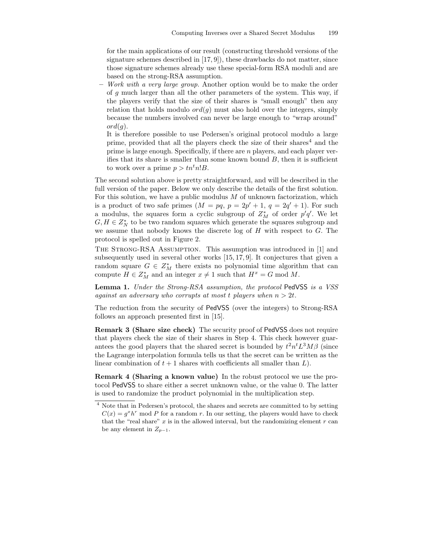for the main applications of our result (constructing threshold versions of the signature schemes described in  $[17, 9]$ , these drawbacks do not matter, since those signature schemes already use these special-form RSA moduli and are based on the strong-RSA assumption.

- Work with a very large group. Another option would be to make the order of g much larger than all the other parameters of the system. This way, if the players verify that the size of their shares is "small enough" then any relation that holds modulo  $ord(q)$  must also hold over the integers, simply because the numbers involved can never be large enough to "wrap around"  $ord(a).$ 
	- It is therefore possible to use Pedersen's original protocol modulo a large prime, provided that all the players check the size of their shares<sup>4</sup> and the prime is large enough. Specifically, if there are  $n$  players, and each player verifies that its share is smaller than some known bound  $B$ , then it is sufficient to work over a prime  $p > tn<sup>t</sup>n!B$ .

The second solution above is pretty straightforward, and will be described in the full version of the paper. Below we only describe the details of the first solution. For this solution, we have a public modulus  $M$  of unknown factorization, which is a product of two safe primes  $(M = pq, p = 2p' + 1, q = 2q' + 1)$ . For such a modulus, the squares form a cyclic subgroup of  $Z_M^*$  of order  $p'q'$ . We let  $G, H \in Z_N^*$  to be two random squares which generate the squares subgroup and we assume that nobody knows the discrete log of  $H$  with respect to  $G$ . The protocol is spelled out in Figure 2.

The Strong-RSA Assumption. This assumption was introduced in [1] and subsequently used in several other works [15, 17, 9]. It conjectures that given a random square  $G \in Z_M^*$  there exists no polynomial time algorithm that can compute  $H \in Z_M^*$  and an integer  $x \neq 1$  such that  $H^x = G \text{ mod } M$ .

Lemma 1. Under the Strong-RSA assumption, the protocol PedVSS is a VSS against an adversary who corrupts at most t players when  $n > 2t$ .

The reduction from the security of PedVSS (over the integers) to Strong-RSA follows an approach presented first in [15].

Remark 3 (Share size check) The security proof of PedVSS does not require that players check the size of their shares in Step 4. This check however guarantees the good players that the shared secret is bounded by  $t^2 n^t L^3 M \beta$  (since the Lagrange interpolation formula tells us that the secret can be written as the linear combination of  $t + 1$  shares with coefficients all smaller than  $L$ ).

Remark 4 (Sharing a known value) In the robust protocol we use the protocol PedVSS to share either a secret unknown value, or the value 0. The latter is used to randomize the product polynomial in the multiplication step.

<sup>4</sup> Note that in Pedersen's protocol, the shares and secrets are committed to by setting  $C(x) = g^x h^r$  mod P for a random r. In our setting, the players would have to check that the "real share"  $x$  is in the allowed interval, but the randomizing element  $r$  can be any element in  $Z_{p-1}$ .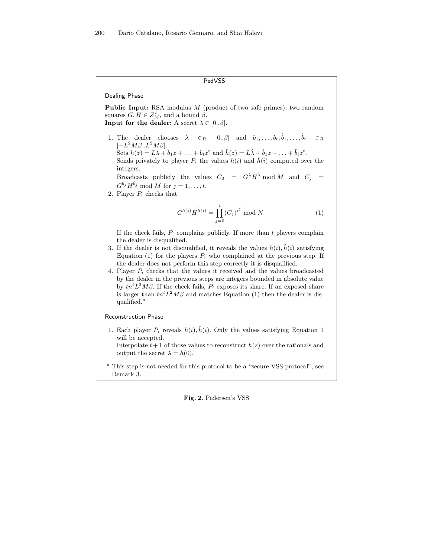PedVSS

Dealing Phase

Public Input: RSA modulus M (product of two safe primes), two random squares  $G, H \in Z_M^*$ , and a bound  $\beta$ . Input for the dealer: A secret  $\lambda \in [0..\beta]$ .

- 1. The dealer chooses  $\hat{\lambda} \in R$   $[0..\beta]$  and  $b_1, \ldots, b_t, \hat{b}_1, \ldots,$ 
	- $[-L^2M\beta...L^2M\beta].$ Sets  $h(z) = L\lambda + b_1z + \ldots + b_tz^t$  and  $\hat{h}(z) = L\hat{\lambda} + \hat{b}_1z + \ldots + \hat{b}_tz^t$ . Sends privately to player  $P_i$  the values  $h(i)$  and  $\hat{h}(i)$  computed over the integers.

Broadcasts publicly the values  $C_0 = G^{\lambda} H^{\hat{\lambda}}$  mod M and  $C_j =$  $G^{b_j} H^{\hat{b}_j} \mod M$  for  $j = 1, \ldots, t$ .

2. Player  $P_i$  checks that

$$
G^{h(i)}H^{\hat{h}(i)} = \prod_{j=0}^{t} (C_j)^{i^j} \mod N
$$
 (1)

 $\in$ R

If the check fails,  $P_i$  complains publicly. If more than  $t$  players complain the dealer is disqualified.

- 3. If the dealer is not disqualified, it reveals the values  $h(i)$ ,  $\hat{h}(i)$  satisfying Equation (1) for the players  $P_i$  who complained at the previous step. If the dealer does not perform this step correctly it is disqualified.
- 4. Player  $P_i$  checks that the values it received and the values broadcasted by the dealer in the previous steps are integers bounded in absolute value by  $tn<sup>t</sup> L<sup>2</sup> M \beta$ . If the check fails,  $P_i$  exposes its share. If an exposed share is larger than  $tn<sup>t</sup> L<sup>2</sup> M \beta$  and matches Equation (1) then the dealer is disqualified.<sup>a</sup>

#### Reconstruction Phase

1. Each player  $P_i$  reveals  $h(i)$ ,  $\hat{h}(i)$ . Only the values satisfying Equation 1 will be accepted.

Interpolate  $t+1$  of those values to reconstruct  $h(z)$  over the rationals and output the secret  $\lambda = h(0)$ .

<sup>a</sup> This step is not needed for this protocol to be a "secure VSS protocol", see Remark 3.

#### Fig. 2. Pedersen's VSS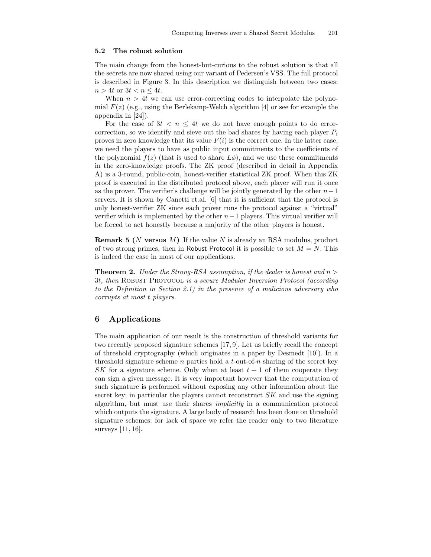### 5.2 The robust solution

The main change from the honest-but-curious to the robust solution is that all the secrets are now shared using our variant of Pedersen's VSS. The full protocol is described in Figure 3. In this description we distinguish between two cases:  $n > 4t$  or  $3t < n < 4t$ .

When  $n > 4t$  we can use error-correcting codes to interpolate the polynomial  $F(z)$  (e.g., using the Berlekamp-Welch algorithm [4] or see for example the appendix in [24]).

For the case of  $3t < n \leq 4t$  we do not have enough points to do errorcorrection, so we identify and sieve out the bad shares by having each player  $P_i$ proves in zero knowledge that its value  $F(i)$  is the correct one. In the latter case, we need the players to have as public input commitments to the coefficients of the polynomial  $f(z)$  (that is used to share  $L\phi$ ), and we use these commitments in the zero-knowledge proofs. The ZK proof (described in detail in Appendix A) is a 3-round, public-coin, honest-verifier statistical ZK proof. When this ZK proof is executed in the distributed protocol above, each player will run it once as the prover. The verifier's challenge will be jointly generated by the other  $n-1$ servers. It is shown by Canetti et.al. [6] that it is sufficient that the protocol is only honest-verifier ZK since each prover runs the protocol against a "virtual" verifier which is implemented by the other  $n-1$  players. This virtual verifier will be forced to act honestly because a majority of the other players is honest.

**Remark 5** (N versus  $M$ ) If the value N is already an RSA modulus, product of two strong primes, then in Robust Protocol it is possible to set  $M = N$ . This is indeed the case in most of our applications.

**Theorem 2.** Under the Strong-RSA assumption, if the dealer is honest and  $n >$ 3t, then ROBUST PROTOCOL is a secure Modular Inversion Protocol (according to the Definition in Section 2.1) in the presence of a malicious adversary who corrupts at most t players.

# 6 Applications

The main application of our result is the construction of threshold variants for two recently proposed signature schemes [17, 9]. Let us briefly recall the concept of threshold cryptography (which originates in a paper by Desmedt [10]). In a threshold signature scheme n parties hold a t-out-of-n sharing of the secret key SK for a signature scheme. Only when at least  $t + 1$  of them cooperate they can sign a given message. It is very important however that the computation of such signature is performed without exposing any other information about the secret key; in particular the players cannot reconstruct  $SK$  and use the signing algorithm, but must use their shares implicitly in a communication protocol which outputs the signature. A large body of research has been done on threshold signature schemes: for lack of space we refer the reader only to two literature surveys [11, 16].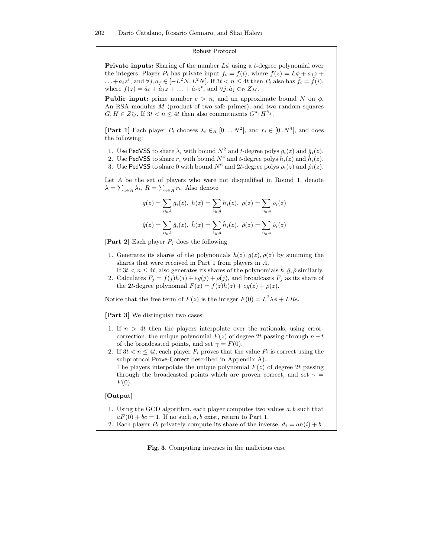#### Robust Protocol

**Private inputs:** Sharing of the number  $L\phi$  using a t-degree polynomial over the integers. Player  $P_i$  has private input  $f_i = f(i)$ , where  $f(z) = L\phi + a_1z +$  $\dots + a_t z^t$ , and  $\forall j, a_j \in [-L^2N, L^2N]$ . If  $3t < n \leq 4t$  then  $P_i$  also has  $\hat{f}_i = \hat{f}(i)$ , where  $f(z) = \hat{a}_0 + \hat{a}_1 z + \ldots + \hat{a}_t z^t$ , and  $\forall j, \hat{a}_j \in_R Z_M$ .

**Public input:** prime number  $e > n$ , and an approximate bound N on  $\phi$ . An RSA modulus M (product of two safe primes), and two random squares  $G, H \in \mathbb{Z}_M^*$ . If  $3t < n \leq 4t$  then also commitments  $G^{a_j} H^{\hat{a}_j}$ .

**[Part 1]** Each player  $P_i$  chooses  $\lambda_i \in_R [0 \dots N^2]$ , and  $r_i \in [0 \dots N^4]$ , and does the following:

- 1. Use PedVSS to share  $\lambda_i$  with bound  $N^2$  and t-degree polys  $g_i(z)$  and  $\hat{g}_i(z)$ .
- 2. Use PedVSS to share  $r_i$  with bound  $N^4$  and t-degree polys  $h_i(z)$  and  $\hat{h}_i(z)$ .
- 3. Use PedVSS to share 0 with bound  $N^6$  and 2t-degree polys  $\rho_i(z)$  and  $\hat{\rho}_i(z)$ .

Let A be the set of players who were not disqualified in Round 1, denote  $\lambda = \sum_{i \in A} \lambda_i$ ,  $R = \sum_{i \in A} r_i$ . Also denote

$$
g(z) = \sum_{i \in A} g_i(z), \ h(z) = \sum_{i \in A} h_i(z), \ \rho(z) = \sum_{i \in A} \rho_i(z)
$$

$$
\hat{g}(z) = \sum_{i \in A} \hat{g}_i(z), \ \hat{h}(z) = \sum_{i \in A} \hat{h}_i(z), \ \hat{\rho}(z) = \sum_{i \in A} \hat{\rho}_i(z)
$$

**[Part 2]** Each player  $P_i$  does the following

- 1. Generates its shares of the polynomials  $h(z)$ ,  $g(z)$ ,  $\rho(z)$  by summing the shares that were received in Part 1 from players in A.
- If  $3t < n \leq 4t$ , also generates its shares of the polynomials  $h, \hat{g}, \hat{\rho}$  similarly. 2. Calculates  $F_j = f(j)h(j) + eg(j) + \rho(j)$ , and broadcasts  $F_j$  as its share of the 2t-degree polynomial  $F(z) = f(z)h(z) + eg(z) + \rho(z)$ .

Notice that the free term of  $F(z)$  is the integer  $F(0) = L^2 \lambda \phi + LRe$ .

[Part 3] We distinguish two cases:

- 1. If  $n > 4t$  then the players interpolate over the rationals, using errorcorrection, the unique polynomial  $F(z)$  of degree 2t passing through  $n-t$ of the broadcasted points, and set  $\gamma = F(0)$ .
- 2. If  $3t < n \leq 4t$ , each player  $P_i$  proves that the value  $F_i$  is correct using the subprotocol Prove-Correct described in Appendix A). The players interpolate the unique polynomial  $F(z)$  of degree 2t passing through the broadcasted points which are proven correct, and set  $\gamma =$  $F(0).$

#### [Output]

- 1. Using the GCD algorithm, each player computes two values  $a, b$  such that  $aF(0) + be = 1$ . If no such a, b exist, return to Part 1.
- 2. Each player  $P_i$  privately compute its share of the inverse,  $d_i = ah(i) + b$ .

Fig. 3. Computing inverses in the malicious case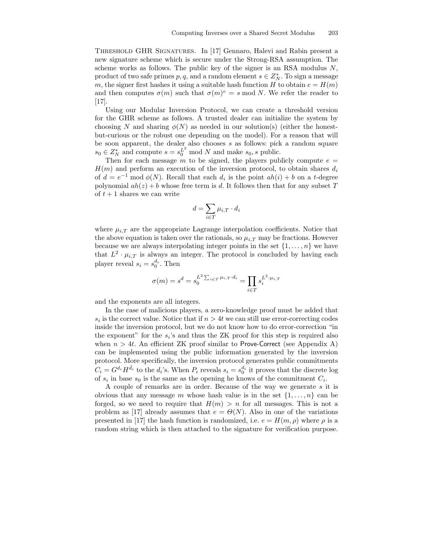Threshold GHR Signatures. In [17] Gennaro, Halevi and Rabin present a new signature scheme which is secure under the Strong-RSA assumption. The scheme works as follows. The public key of the signer is an RSA modulus  $N$ , product of two safe primes  $p, q$ , and a random element  $s \in Z_N^*$ . To sign a message m, the signer first hashes it using a suitable hash function H to obtain  $e = H(m)$ and then computes  $\sigma(m)$  such that  $\sigma(m)^e = s \mod N$ . We refer the reader to  $|17|$ .

Using our Modular Inversion Protocol, we can create a threshold version for the GHR scheme as follows. A trusted dealer can initialize the system by choosing N and sharing  $\phi(N)$  as needed in our solution(s) (either the honestbut-curious or the robust one depending on the model). For a reason that will be soon apparent, the dealer also chooses s as follows: pick a random square  $s_0 \in Z_N^*$  and compute  $s = s_0^{L^2} \mod N$  and make  $s_0, s$  public.

Then for each message m to be signed, the players publicly compute  $e =$  $H(m)$  and perform an execution of the inversion protocol, to obtain shares  $d_i$ of  $d = e^{-1} \mod \phi(N)$ . Recall that each  $d_i$  is the point  $ah(i) + b$  on a t-degree polynomial  $ah(z) + b$  whose free term is d. It follows then that for any subset T of  $t + 1$  shares we can write

$$
d = \sum_{i \in T} \mu_{i,T} \cdot d_i
$$

where  $\mu_{i,T}$  are the appropriate Lagrange interpolation coefficients. Notice that the above equation is taken over the rationals, so  $\mu_{i,T}$  may be fractions. However because we are always interpolating integer points in the set  $\{1, \ldots, n\}$  we have that  $L^2 \cdot \mu_{i,T}$  is always an integer. The protocol is concluded by having each player reveal  $s_i = s_0^{d_i}$ . Then

$$
\sigma(m) = s^d = s_0^{L^2 \sum_{i \in T} \mu_{i,T} \cdot d_i} = \prod_{i \in T} s_i^{L^2 \cdot \mu_{i,T}}
$$

and the exponents are all integers.

In the case of malicious players, a zero-knowledge proof must be added that  $s_i$  is the correct value. Notice that if  $n > 4t$  we can still use error-correcting codes inside the inversion protocol, but we do not know how to do error-correction "in the exponent" for the  $s_i$ 's and thus the ZK proof for this step is required also when  $n > 4t$ . An efficient ZK proof similar to Prove-Correct (see Appendix A) can be implemented using the public information generated by the inversion protocol. More specifically, the inversion protocol generates public commitments  $C_i = G^{d_i} H^{\hat{d}_i}$  to the  $d_i$ 's. When  $P_i$  reveals  $s_i = s_0^{d_i}$  it proves that the discrete log of  $s_i$  in base  $s_0$  is the same as the opening he knows of the commitment  $C_i$ .

A couple of remarks are in order. Because of the way we generate s it is obvious that any message m whose hash value is in the set  $\{1,\ldots,n\}$  can be forged, so we need to require that  $H(m) > n$  for all messages. This is not a problem as [17] already assumes that  $e = \Theta(N)$ . Also in one of the variations presented in [17] the hash function is randomized, i.e.  $e = H(m, \rho)$  where  $\rho$  is a random string which is then attached to the signature for verification purpose.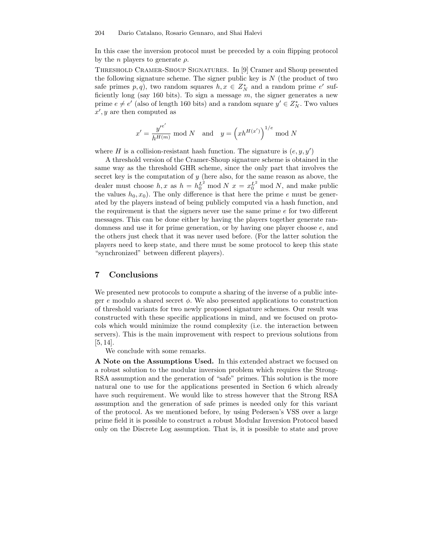In this case the inversion protocol must be preceded by a coin flipping protocol by the *n* players to generate  $\rho$ .

Threshold Cramer-Shoup Signatures. In [9] Cramer and Shoup presented the following signature scheme. The signer public key is  $N$  (the product of two safe primes  $p, q$ , two random squares  $h, x \in Z_N^*$  and a random prime  $e'$  sufficiently long (say 160 bits). To sign a message  $m$ , the signer generates a new prime  $e \neq e'$  (also of length 160 bits) and a random square  $y' \in Z_N^*$ . Two values  $x', y$  are then computed as

$$
x' = \frac{{y'}^{e'}}{h^{H(m)}} \bmod N \quad \text{and} \quad y = \Big(x h^{H(x')}\Big)^{1/e} \bmod N
$$

where H is a collision-resistant hash function. The signature is  $(e, y, y')$ 

A threshold version of the Cramer-Shoup signature scheme is obtained in the same way as the threshold GHR scheme, since the only part that involves the secret key is the computation of  $y$  (here also, for the same reason as above, the dealer must choose  $h, x$  as  $h = h_0^{L^2} \text{ mod } N$   $x = x_0^{L^2} \text{ mod } N$ , and make public the values  $h_0, x_0$ ). The only difference is that here the prime e must be generated by the players instead of being publicly computed via a hash function, and the requirement is that the signers never use the same prime  $e$  for two different messages. This can be done either by having the players together generate randomness and use it for prime generation, or by having one player choose  $e$ , and the others just check that it was never used before. (For the latter solution the players need to keep state, and there must be some protocol to keep this state "synchronized" between different players).

### 7 Conclusions

We presented new protocols to compute a sharing of the inverse of a public integer e modulo a shared secret  $\phi$ . We also presented applications to construction of threshold variants for two newly proposed signature schemes. Our result was constructed with these specific applications in mind, and we focused on protocols which would minimize the round complexity (i.e. the interaction between servers). This is the main improvement with respect to previous solutions from [5, 14].

We conclude with some remarks.

A Note on the Assumptions Used. In this extended abstract we focused on a robust solution to the modular inversion problem which requires the Strong-RSA assumption and the generation of "safe" primes. This solution is the more natural one to use for the applications presented in Section 6 which already have such requirement. We would like to stress however that the Strong RSA assumption and the generation of safe primes is needed only for this variant of the protocol. As we mentioned before, by using Pedersen's VSS over a large prime field it is possible to construct a robust Modular Inversion Protocol based only on the Discrete Log assumption. That is, it is possible to state and prove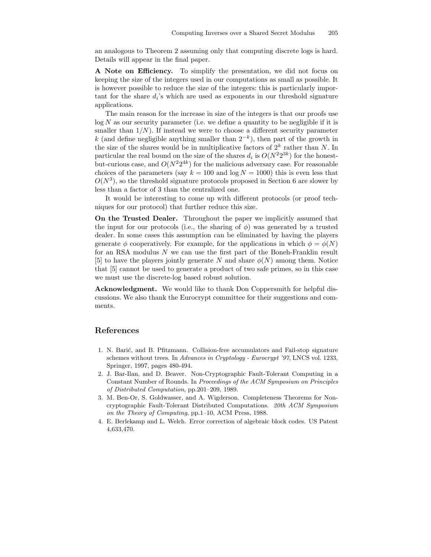an analogous to Theorem 2 assuming only that computing discrete logs is hard. Details will appear in the final paper.

A Note on Efficiency. To simplify the presentation, we did not focus on keeping the size of the integers used in our computations as small as possible. It is however possible to reduce the size of the integers: this is particularly impor- $\tan$  for the share  $d_i$ 's which are used as exponents in our threshold signature applications.

The main reason for the increase in size of the integers is that our proofs use  $log N$  as our security parameter (i.e. we define a quantity to be negligible if it is smaller than  $1/N$ ). If instead we were to choose a different security parameter k (and define negligible anything smaller than  $2^{-k}$ ), then part of the growth in the size of the shares would be in multiplicative factors of  $2^k$  rather than N. In particular the real bound on the size of the shares  $d_i$  is  $O(N^2 2^{3k})$  for the honestbut-curious case, and  $O(N^2 2^{4k})$  for the malicious adversary case. For reasonable choices of the parameters (say  $k = 100$  and  $log N = 1000$ ) this is even less that  $O(N^3)$ , so the threshold signature protocols proposed in Section 6 are slower by less than a factor of 3 than the centralized one.

It would be interesting to come up with different protocols (or proof techniques for our protocol) that further reduce this size.

On the Trusted Dealer. Throughout the paper we implicitly assumed that the input for our protocols (i.e., the sharing of  $\phi$ ) was generated by a trusted dealer. In some cases this assumption can be eliminated by having the players generate  $\phi$  cooperatively. For example, for the applications in which  $\phi = \phi(N)$ for an RSA modulus N we can use the first part of the Boneh-Franklin result [5] to have the players jointly generate N and share  $\phi(N)$  among them. Notice that [5] cannot be used to generate a product of two safe primes, so in this case we must use the discrete-log based robust solution.

Acknowledgment. We would like to thank Don Coppersmith for helpful discussions. We also thank the Eurocrypt committee for their suggestions and comments.

# References

- 1. N. Barić, and B. Pfitzmann. Collision-free accumulators and Fail-stop signature schemes without trees. In Advances in Cryptology - Eurocrypt '97, LNCS vol. 1233, Springer, 1997, pages 480-494.
- 2. J. Bar-Ilan, and D. Beaver. Non-Cryptographic Fault-Tolerant Computing in a Constant Number of Rounds. In Proceedings of the ACM Symposium on Principles of Distributed Computation, pp.201–209, 1989.
- 3. M. Ben-Or, S. Goldwasser, and A. Wigderson. Completeness Theorems for Noncryptographic Fault-Tolerant Distributed Computations. 20th ACM Symposium on the Theory of Computing, pp.1–10, ACM Press, 1988.
- 4. E. Berlekamp and L. Welch. Error correction of algebraic block codes. US Patent 4,633,470.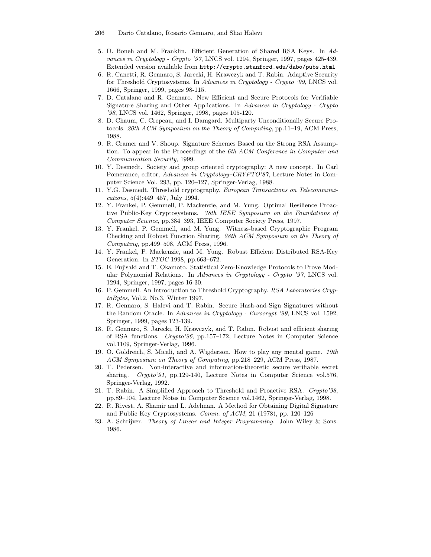- 206 Dario Catalano, Rosario Gennaro, and Shai Halevi
- 5. D. Boneh and M. Franklin. Efficient Generation of Shared RSA Keys. In Advances in Cryptology - Crypto '97, LNCS vol. 1294, Springer, 1997, pages 425-439. Extended version available from http://crypto.stanford.edu/dabo/pubs.html
- 6. R. Canetti, R. Gennaro, S. Jarecki, H. Krawczyk and T. Rabin. Adaptive Security for Threshold Cryptosystems. In Advances in Cryptology - Crypto '99, LNCS vol. 1666, Springer, 1999, pages 98-115.
- 7. D. Catalano and R. Gennaro. New Efficient and Secure Protocols for Verifiable Signature Sharing and Other Applications. In Advances in Cryptology - Crypto '98, LNCS vol. 1462, Springer, 1998, pages 105-120.
- 8. D. Chaum, C. Crepeau, and I. Damgard. Multiparty Unconditionally Secure Protocols. 20th ACM Symposium on the Theory of Computing, pp.11–19, ACM Press, 1988.
- 9. R. Cramer and V. Shoup. Signature Schemes Based on the Strong RSA Assumption. To appear in the Proceedings of the 6th ACM Conference in Computer and Communication Security, 1999.
- 10. Y. Desmedt. Society and group oriented cryptography: A new concept. In Carl Pomerance, editor, Advances in Cryptology–CRYPTO'87, Lecture Notes in Computer Science Vol. 293, pp. 120–127, Springer-Verlag, 1988.
- 11. Y.G. Desmedt. Threshold cryptography. European Transactions on Telecommunications, 5(4):449–457, July 1994.
- 12. Y. Frankel, P. Gemmell, P. Mackenzie, and M. Yung. Optimal Resilience Proactive Public-Key Cryptosystems. 38th IEEE Symposium on the Foundations of Computer Science, pp.384–393, IEEE Computer Society Press, 1997.
- 13. Y. Frankel, P. Gemmell, and M. Yung. Witness-based Cryptographic Program Checking and Robust Function Sharing. 28th ACM Symposium on the Theory of Computing, pp.499–508, ACM Press, 1996.
- 14. Y. Frankel, P. Mackenzie, and M. Yung. Robust Efficient Distributed RSA-Key Generation. In STOC 1998, pp.663–672.
- 15. E. Fujisaki and T. Okamoto. Statistical Zero-Knowledge Protocols to Prove Modular Polynomial Relations. In Advances in Cryptology - Crypto '97, LNCS vol. 1294, Springer, 1997, pages 16-30.
- 16. P. Gemmell. An Introduction to Threshold Cryptography. RSA Laboratories CryptoBytes, Vol.2, No.3, Winter 1997.
- 17. R. Gennaro, S. Halevi and T. Rabin. Secure Hash-and-Sign Signatures without the Random Oracle. In Advances in Cryptology - Eurocrypt '99, LNCS vol. 1592, Springer, 1999, pages 123-139.
- 18. R. Gennaro, S. Jarecki, H. Krawczyk, and T. Rabin. Robust and efficient sharing of RSA functions. Crypto'96, pp.157–172, Lecture Notes in Computer Science vol.1109, Springer-Verlag, 1996.
- 19. O. Goldreich, S. Micali, and A. Wigderson. How to play any mental game. 19th ACM Symposium on Theory of Computing, pp.218–229, ACM Press, 1987.
- 20. T. Pedersen. Non-interactive and information-theoretic secure verifiable secret sharing. Crypto'91, pp.129-140, Lecture Notes in Computer Science vol.576, Springer-Verlag, 1992.
- 21. T. Rabin. A Simplified Approach to Threshold and Proactive RSA. Crypto'98, pp.89–104, Lecture Notes in Computer Science vol.1462, Springer-Verlag, 1998.
- 22. R. Rivest, A. Shamir and L. Adelman. A Method for Obtaining Digital Signature and Public Key Cryptosystems. Comm. of ACM, 21 (1978), pp. 120–126
- 23. A. Schrijver. Theory of Linear and Integer Programming. John Wiley & Sons. 1986.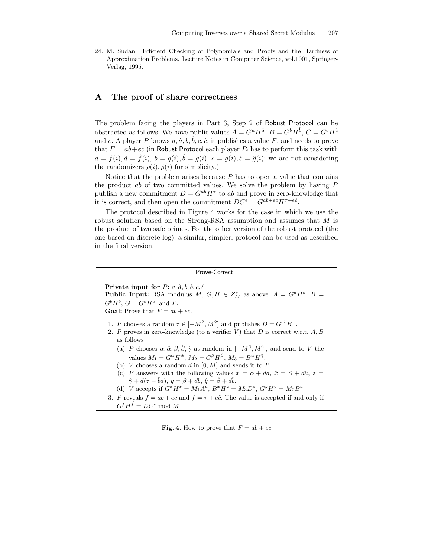24. M. Sudan. Efficient Checking of Polynomials and Proofs and the Hardness of Approximation Problems. Lecture Notes in Computer Science, vol.1001, Springer-Verlag, 1995.

# A The proof of share correctness

The problem facing the players in Part 3, Step 2 of Robust Protocol can be abstracted as follows. We have public values  $A = G^a H^{\hat{a}}$ ,  $B = G^b H^{\hat{b}}$ ,  $C = G^c H^{\hat{c}}$ and e. A player P knows  $a, \hat{a}, b, \hat{b}, c, \hat{c}$ , it publishes a value F, and needs to prove that  $F = ab + ec$  (in Robust Protocol each player  $P_i$  has to perform this task with  $a = f(i), \hat{a} = \hat{f}(i), b = g(i), \hat{b} = \hat{g}(i), c = g(i), \hat{c} = \hat{g}(i);$  we are not considering the randomizers  $\rho(i)$ ,  $\hat{\rho}(i)$  for simplicity.)

Notice that the problem arises because  $P$  has to open a value that contains the product ab of two committed values. We solve the problem by having  $P$ publish a new commitment  $D = G^{ab} H^{\tau}$  to ab and prove in zero-knowledge that it is correct, and then open the commitment  $DC^e = G^{ab+ec} H^{\tau + e\hat{c}}$ .

The protocol described in Figure 4 works for the case in which we use the robust solution based on the Strong-RSA assumption and assumes that M is the product of two safe primes. For the other version of the robust protocol (the one based on discrete-log), a similar, simpler, protocol can be used as described in the final version.

Prove-Correct

Private input for P:  $a, \hat{a}, b, \hat{b}, c, \hat{c}$ . **Public Input:** RSA modulus M,  $G, H \in Z_M^*$  as above.  $A = G^a H^{\hat{a}}, B =$  $G^b H^{\hat{b}}, G = G^c H^{\hat{c}}, \text{ and } F.$ **Goal:** Prove that  $F = ab + ec$ .

- 1. P chooses a random  $\tau \in [-M^2, M^2]$  and publishes  $D = G^{ab} H^{\tau}$ .
- 2. P proves in zero-knowledge (to a verifier V) that D is correct w.r.t.  $A, B$ as follows
	- (a) P chooses  $\alpha, \hat{\alpha}, \beta, \hat{\beta}, \hat{\gamma}$  at random in  $[-M^6, M^6]$ , and send to V the values  $M_1 = G^{\alpha} H^{\hat{\alpha}}$ ,  $M_2 = G^{\beta} H^{\hat{\beta}}$ ,  $M_3 = B^{\alpha} H^{\hat{\gamma}}$ .
	- (b) V chooses a random d in  $[0, M]$  and sends it to P.
	- (c) P answers with the following values  $x = \alpha + da$ ,  $\hat{x} = \hat{\alpha} + d\hat{a}$ ,  $z =$  $\hat{\gamma} + d(\tau - \hat{b}a), y = \beta + db, \hat{y} = \hat{\beta} + d\hat{b}.$
	- (d) V accepts if  $G^x H^{\hat{x}} = M_1 A^d$ ,  $B^x H^z = M_3 D^d$ ,  $G^y H^{\hat{y}} = M_2 B^d$

3. P reveals  $f = ab + ec$  and  $\hat{f} = \tau + e\hat{c}$ . The value is accepted if and only if  $G^f H^{\hat{f}} = D C^e \text{ mod } M$ 

Fig. 4. How to prove that  $F = ab + ec$